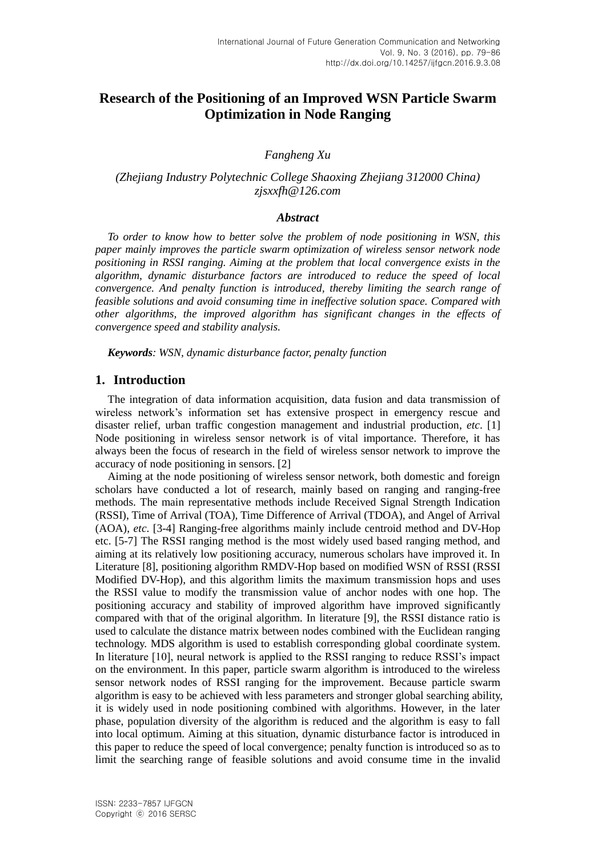# **Research of the Positioning of an Improved WSN Particle Swarm Optimization in Node Ranging**

## *Fangheng Xu*

## *(Zhejiang Industry Polytechnic College Shaoxing Zhejiang 312000 China) zjsxxfh@126.com*

### *Abstract*

*To order to know how to better solve the problem of node positioning in WSN, this paper mainly improves the particle swarm optimization of wireless sensor network node positioning in RSSI ranging. Aiming at the problem that local convergence exists in the algorithm, dynamic disturbance factors are introduced to reduce the speed of local convergence. And penalty function is introduced, thereby limiting the search range of feasible solutions and avoid consuming time in ineffective solution space. Compared with other algorithms, the improved algorithm has significant changes in the effects of convergence speed and stability analysis.*

*Keywords: WSN, dynamic disturbance factor, penalty function*

### **1. Introduction**

The integration of data information acquisition, data fusion and data transmission of wireless network's information set has extensive prospect in emergency rescue and disaster relief, urban traffic congestion management and industrial production, *etc*. [1] Node positioning in wireless sensor network is of vital importance. Therefore, it has always been the focus of research in the field of wireless sensor network to improve the accuracy of node positioning in sensors. [2]

Aiming at the node positioning of wireless sensor network, both domestic and foreign scholars have conducted a lot of research, mainly based on ranging and ranging-free methods. The main representative methods include Received Signal Strength Indication (RSSI), Time of Arrival (TOA), Time Difference of Arrival (TDOA), and Angel of Arrival (AOA), *etc*. [3-4] Ranging-free algorithms mainly include centroid method and DV-Hop etc. [5-7] The RSSI ranging method is the most widely used based ranging method, and aiming at its relatively low positioning accuracy, numerous scholars have improved it. In Literature [8], positioning algorithm RMDV-Hop based on modified WSN of RSSI (RSSI Modified DV-Hop), and this algorithm limits the maximum transmission hops and uses the RSSI value to modify the transmission value of anchor nodes with one hop. The positioning accuracy and stability of improved algorithm have improved significantly compared with that of the original algorithm. In literature [9], the RSSI distance ratio is used to calculate the distance matrix between nodes combined with the Euclidean ranging technology. MDS algorithm is used to establish corresponding global coordinate system. In literature [10], neural network is applied to the RSSI ranging to reduce RSSI's impact on the environment. In this paper, particle swarm algorithm is introduced to the wireless sensor network nodes of RSSI ranging for the improvement. Because particle swarm algorithm is easy to be achieved with less parameters and stronger global searching ability, it is widely used in node positioning combined with algorithms. However, in the later phase, population diversity of the algorithm is reduced and the algorithm is easy to fall into local optimum. Aiming at this situation, dynamic disturbance factor is introduced in this paper to reduce the speed of local convergence; penalty function is introduced so as to limit the searching range of feasible solutions and avoid consume time in the invalid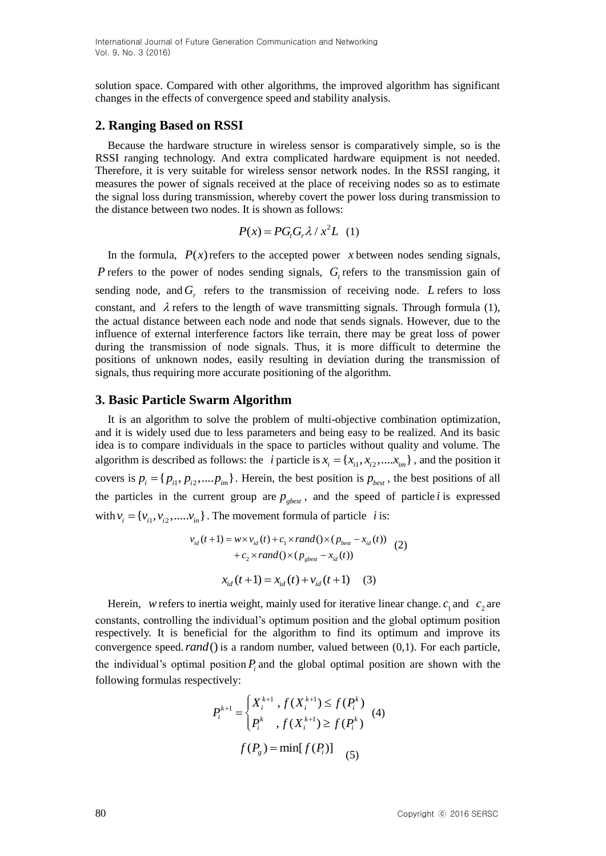solution space. Compared with other algorithms, the improved algorithm has significant changes in the effects of convergence speed and stability analysis.

# **2. Ranging Based on RSSI**

Because the hardware structure in wireless sensor is comparatively simple, so is the RSSI ranging technology. And extra complicated hardware equipment is not needed. Therefore, it is very suitable for wireless sensor network nodes. In the RSSI ranging, it measures the power of signals received at the place of receiving nodes so as to estimate the signal loss during transmission, whereby covert the power loss during transmission to the distance between two nodes. It is shown as follows:

$$
P(x) = PG_{t}G_{r}\lambda / x^{2}L \quad (1)
$$

In the formula,  $P(x)$  refers to the accepted power x between nodes sending signals, *P* refers to the power of nodes sending signals,  $G_t$  refers to the transmission gain of sending node, and  $G_r$  refers to the transmission of receiving node. L refers to loss constant, and  $\lambda$  refers to the length of wave transmitting signals. Through formula (1), the actual distance between each node and node that sends signals. However, due to the influence of external interference factors like terrain, there may be great loss of power during the transmission of node signals. Thus, it is more difficult to determine the positions of unknown nodes, easily resulting in deviation during the transmission of signals, thus requiring more accurate positioning of the algorithm.

# **3. Basic Particle Swarm Algorithm**

It is an algorithm to solve the problem of multi-objective combination optimization, and it is widely used due to less parameters and being easy to be realized. And its basic idea is to compare individuals in the space to particles without quality and volume. The algorithm is described as follows: the *i* particle is  $x_i = \{x_{i1}, x_{i2}, \dots, x_{im}\}\)$ , and the position it covers is  $p_i = \{p_{i1}, p_{i2},..., p_{im}\}\.$  Herein, the best position is  $p_{best}$ , the best positions of all the particles in the current group are  $p_{\text{gbest}}$ , and the speed of particle *i* is expressed with  $v_i = \{v_{i1}, v_{i2}, \dots, v_{in}\}\)$ . The movement formula of particle *i* is:<br> $v_{id}(t+1) = w \times v_{id}(t) + c_1 \times rand(\times (p_{best} - x_{id}(t))$ 

$$
v_{id}(t+1) = w \times v_{id}(t) + c_1 \times rand(\mathcal{Y}(p_{best} - x_{id}(t))
$$
  
+  $c_2 \times rand(\mathcal{Y}(p_{gbest} - x_{id}(t)))$   

$$
x_{id}(t+1) = x_{id}(t) + v_{id}(t+1)
$$
 (3)

Herein, *w* refers to inertia weight, mainly used for iterative linear change. 
$$
c_1
$$
 and  $c_2$  are constants, controlling the individual's optimum position and the global optimum position respectively. It is beneficial for the algorithm to find its optimum and improve its convergence speed. *rand()* is a random number, valued between (0,1). For each particle, the individual's optimal position  $P_i$  and the global optimal position are shown with the following formulas respectively:

$$
P_i^{k+1} = \begin{cases} X_i^{k+1}, f(X_i^{k+1}) \le f(P_i^k) \\ P_i^k, f(X_i^{k+1}) \ge f(P_i^k) \end{cases}
$$
 (4)  

$$
f(P_g) = \min[f(P_i)]
$$
 (5)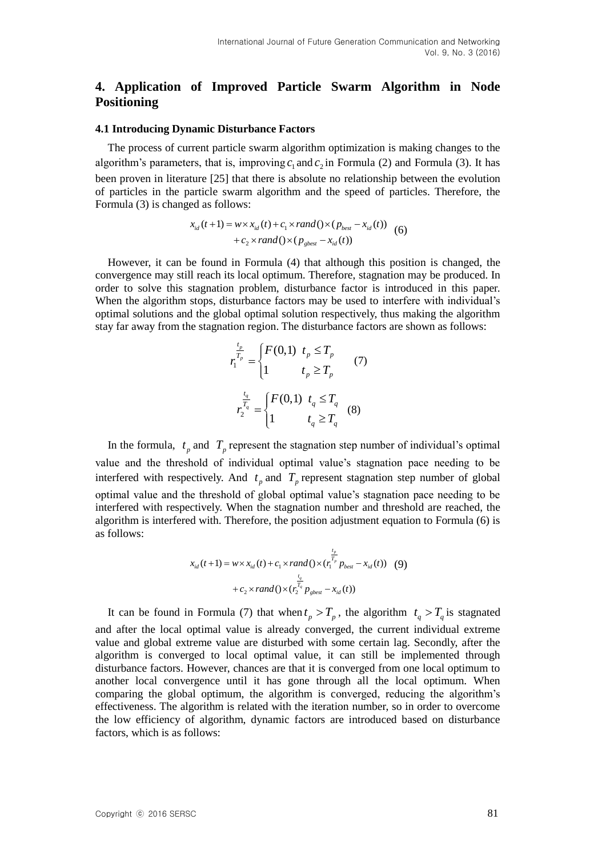# **4. Application of Improved Particle Swarm Algorithm in Node Positioning**

### **4.1 Introducing Dynamic Disturbance Factors**

The process of current particle swarm algorithm optimization is making changes to the algorithm's parameters, that is, improving  $c_1$  and  $c_2$  in Formula (2) and Formula (3). It has been proven in literature [25] that there is absolute no relationship between the evolution of particles in the particle swarm algorithm and the speed of particles. Therefore, the Formula (3) is changed as follows:

$$
\begin{aligned} \text{red as follows:} \\ x_{id}(t+1) &= w \times x_{id}(t) + c_1 \times rand \left( \right) \times \left( p_{best} - x_{id}(t) \right) \\ &+ c_2 \times rand \left( \right) \times \left( p_{\text{gbest}} - x_{id}(t) \right) \end{aligned} \tag{6}
$$

However, it can be found in Formula (4) that although this position is changed, the convergence may still reach its local optimum. Therefore, stagnation may be produced. In order to solve this stagnation problem, disturbance factor is introduced in this paper. When the algorithm stops, disturbance factors may be used to interfere with individual's optimal solutions and the global optimal solution respectively, thus making the algorithm stay far away from the stagnation region. The disturbance factors are shown as follows:

$$
r_1^{\frac{t_p}{T_p}} = \begin{cases} F(0,1) & t_p \le T_p \\ 1 & t_p \ge T_p \end{cases}
$$
 (7)  

$$
r_2^{\frac{t_q}{T_q}} = \begin{cases} F(0,1) & t_q \le T_q \\ 1 & t_q \ge T_q \end{cases}
$$
 (8)

In the formula,  $t_p$  and  $T_p$  represent the stagnation step number of individual's optimal value and the threshold of individual optimal value's stagnation pace needing to be interfered with respectively. And  $t_p$  and  $T_p$  represent stagnation step number of global optimal value and the threshold of global optimal value's stagnation pace needing to be interfered with respectively. When the stagnation number and threshold are reached, the algorithm is interfered with. Therefore, the position adjustment equation to Formula (6) is as follows:

$$
x_{id}(t+1) = w \times x_{id}(t) + c_1 \times rand \left( \right) \times \left( r_1^{\frac{t_p}{T_p}} p_{best} - x_{id}(t) \right) \tag{9}
$$

$$
+ c_2 \times rand \left( \right) \times \left( r_2^{\frac{t_q}{T_q}} p_{gbest} - x_{id}(t) \right)
$$

It can be found in Formula (7) that when  $t_p > T_p$ , the algorithm  $t_q > T_q$  is stagnated and after the local optimal value is already converged, the current individual extreme value and global extreme value are disturbed with some certain lag. Secondly, after the algorithm is converged to local optimal value, it can still be implemented through disturbance factors. However, chances are that it is converged from one local optimum to another local convergence until it has gone through all the local optimum. When comparing the global optimum, the algorithm is converged, reducing the algorithm's effectiveness. The algorithm is related with the iteration number, so in order to overcome the low efficiency of algorithm, dynamic factors are introduced based on disturbance factors, which is as follows: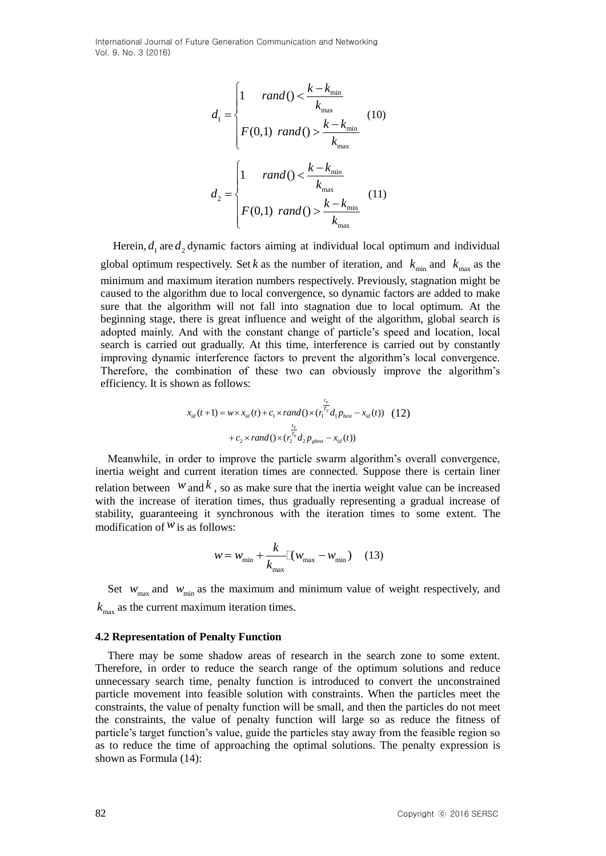International Journal of Future Generation Communication and Networking Vol. 9, No. 3 (2016)

$$
d_{1} = \begin{cases} 1 & rand() < \frac{k - k_{\min}}{k_{\max}} \\ F(0,1) & rand() > \frac{k - k_{\min}}{k_{\max}} \end{cases} (10)
$$

$$
d_{2} = \begin{cases} 1 & rand() < \frac{k - k_{\min}}{k_{\max}} \\ F(0,1) & rand() > \frac{k - k_{\min}}{k_{\max}} \end{cases} (11)
$$

Herein,  $d_1$  are  $d_2$  dynamic factors aiming at individual local optimum and individual global optimum respectively. Set k as the number of iteration, and  $k_{\text{min}}$  and  $k_{\text{max}}$  as the minimum and maximum iteration numbers respectively. Previously, stagnation might be caused to the algorithm due to local convergence, so dynamic factors are added to make sure that the algorithm will not fall into stagnation due to local optimum. At the beginning stage, there is great influence and weight of the algorithm, global search is adopted mainly. And with the constant change of particle's speed and location, local search is carried out gradually. At this time, interference is carried out by constantly improving dynamic interference factors to prevent the algorithm's local convergence. Therefore, the combination of these two can obviously improve the algorithm's efficiency. It is shown as follows:

$$
x_{id}(t+1) = w \times x_{id}(t) + c_1 \times rand(\left(\frac{r_1^{T_p}}{r_1}d_1 p_{best} - x_{id}(t)\right) (12)
$$

$$
+ c_2 \times rand(\left(\frac{r_2^{T_q}}{r_1}d_2 p_{gbest} - x_{id}(t)\right))
$$

Meanwhile, in order to improve the particle swarm algorithm's overall convergence, inertia weight and current iteration times are connected. Suppose there is certain liner relation between  $W$  and  $k$ , so as make sure that the inertia weight value can be increased with the increase of iteration times, thus gradually representing a gradual increase of stability, guaranteeing it synchronous with the iteration times to some extent. The modification of  $W$  is as follows:

$$
w = w_{\min} + \frac{k}{k_{\max}} \left[ \left( w_{\max} - w_{\min} \right) \right] \quad (13)
$$

Set  $w_{\text{max}}$  and  $w_{\text{min}}$  as the maximum and minimum value of weight respectively, and  $k_{\text{max}}$  as the current maximum iteration times.

#### **4.2 Representation of Penalty Function**

There may be some shadow areas of research in the search zone to some extent. Therefore, in order to reduce the search range of the optimum solutions and reduce unnecessary search time, penalty function is introduced to convert the unconstrained particle movement into feasible solution with constraints. When the particles meet the constraints, the value of penalty function will be small, and then the particles do not meet the constraints, the value of penalty function will large so as reduce the fitness of particle's target function's value, guide the particles stay away from the feasible region so as to reduce the time of approaching the optimal solutions. The penalty expression is shown as Formula (14):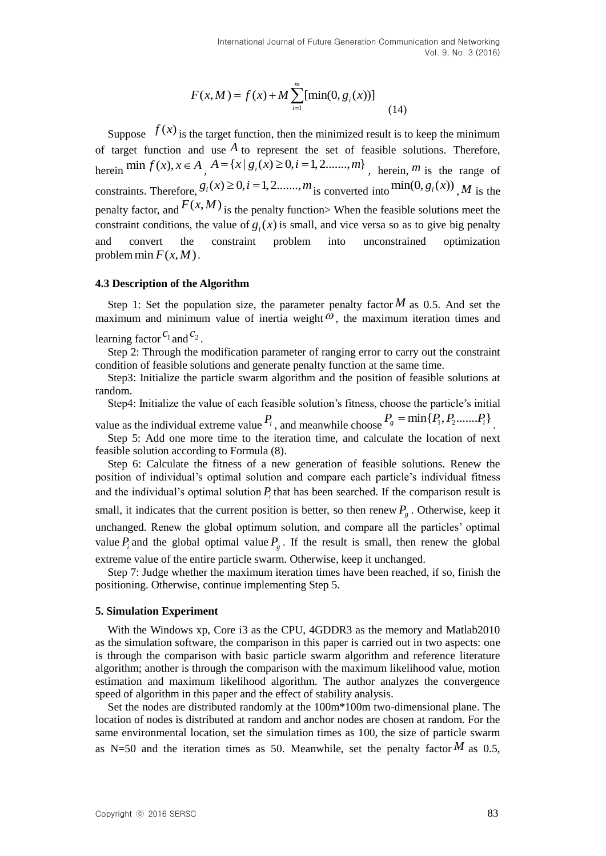$$
F(x, M) = f(x) + M \sum_{i=1}^{m} [\min(0, g_i(x))]
$$
\n(14)

Suppose  $f(x)$  is the target function, then the minimized result is to keep the minimum of target function and use  $A$  to represent the set of feasible solutions. Therefore, of target function and use A to represent the set of feasible solutions. Therefore,<br>herein  $\min f(x), x \in A$ ,  $A = \{x \mid g_i(x) \ge 0, i = 1, 2, \dots, m\}$ , herein, *m* is the range of constraints. Therefore,  $g_i(x) \ge 0, i = 1, 2, \dots, m$  is converted into  $\min(0, g_i(x))$ , *M* is the penalty factor, and  $F(x, M)$  is the penalty function> When the feasible solutions meet the constraint conditions, the value of  $g_i(x)$  is small, and vice versa so as to give big penalty and convert the constraint problem into unconstrained optimization problem  $\min F(x, M)$ .

#### **4.3 Description of the Algorithm**

Step 1: Set the population size, the parameter penalty factor  $M$  as 0.5. And set the maximum and minimum value of inertia weight  $\omega$ , the maximum iteration times and learning factor  $c_1$  and  $c_2$ .

Step 2: Through the modification parameter of ranging error to carry out the constraint condition of feasible solutions and generate penalty function at the same time.

Step3: Initialize the particle swarm algorithm and the position of feasible solutions at random.

Step4: Initialize the value of each feasible solution's fitness, choose the particle's initial value as the individual extreme value  $P_i$ , and meanwhile choose  $P_g = \min\{P_1, P_2, \dots, P_i\}$ .

Step 5: Add one more time to the iteration time, and calculate the location of next feasible solution according to Formula (8).

Step 6: Calculate the fitness of a new generation of feasible solutions. Renew the position of individual's optimal solution and compare each particle's individual fitness and the individual's optimal solution  $P_i$  that has been searched. If the comparison result is small, it indicates that the current position is better, so then renew  $P<sub>g</sub>$ . Otherwise, keep it unchanged. Renew the global optimum solution, and compare all the particles' optimal value  $P_i$  and the global optimal value  $P_g$ . If the result is small, then renew the global extreme value of the entire particle swarm. Otherwise, keep it unchanged.

Step 7: Judge whether the maximum iteration times have been reached, if so, finish the positioning. Otherwise, continue implementing Step 5.

#### **5. Simulation Experiment**

With the Windows xp, Core i3 as the CPU, 4GDDR3 as the memory and Matlab2010 as the simulation software, the comparison in this paper is carried out in two aspects: one is through the comparison with basic particle swarm algorithm and reference literature algorithm; another is through the comparison with the maximum likelihood value, motion estimation and maximum likelihood algorithm. The author analyzes the convergence speed of algorithm in this paper and the effect of stability analysis.

Set the nodes are distributed randomly at the 100m\*100m two-dimensional plane. The location of nodes is distributed at random and anchor nodes are chosen at random. For the same environmental location, set the simulation times as 100, the size of particle swarm as N=50 and the iteration times as 50. Meanwhile, set the penalty factor  $M$  as 0.5,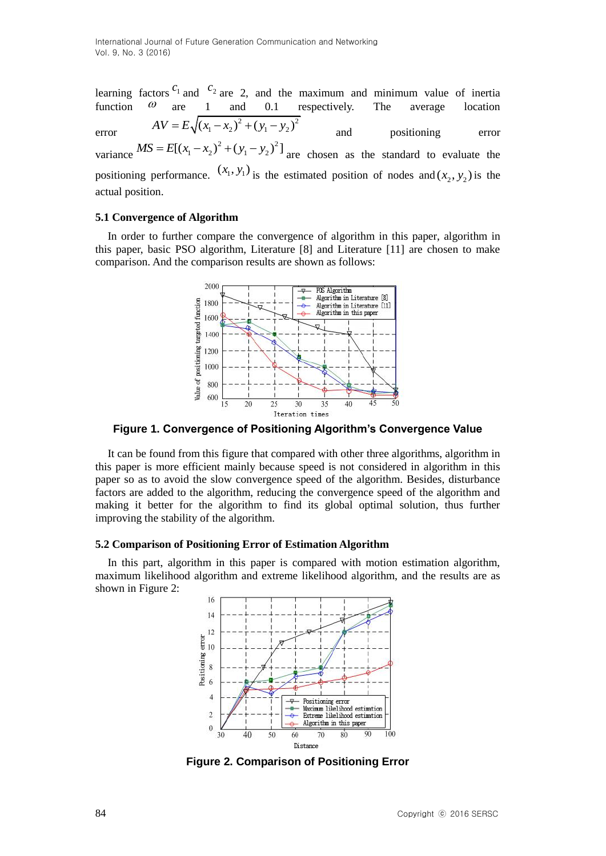learning factors  $c_1$  and  $c_2$  are 2, and the maximum and minimum value of inertia function  $\omega$  are 1 and 0.1 respectively. The average location error  $AV = E \sqrt{(x_1 - x_2)^2 + (y_1 - y_2)^2}$ and positioning error variance  $MS = E[(x_1 - x_2)^2 + (y_1 - y_2)^2]$  are chosen as the standard to evaluate the positioning performance.  $(x_1, y_1)$  is the estimated position of nodes and  $(x_2, y_2)$  is the actual position.

### **5.1 Convergence of Algorithm**

In order to further compare the convergence of algorithm in this paper, algorithm in this paper, basic PSO algorithm, Literature [8] and Literature [11] are chosen to make comparison. And the comparison results are shown as follows:



**Figure 1. Convergence of Positioning Algorithm's Convergence Value**

It can be found from this figure that compared with other three algorithms, algorithm in this paper is more efficient mainly because speed is not considered in algorithm in this paper so as to avoid the slow convergence speed of the algorithm. Besides, disturbance factors are added to the algorithm, reducing the convergence speed of the algorithm and making it better for the algorithm to find its global optimal solution, thus further improving the stability of the algorithm.

### **5.2 Comparison of Positioning Error of Estimation Algorithm**

In this part, algorithm in this paper is compared with motion estimation algorithm, maximum likelihood algorithm and extreme likelihood algorithm, and the results are as shown in Figure 2:



**Figure 2. Comparison of Positioning Error**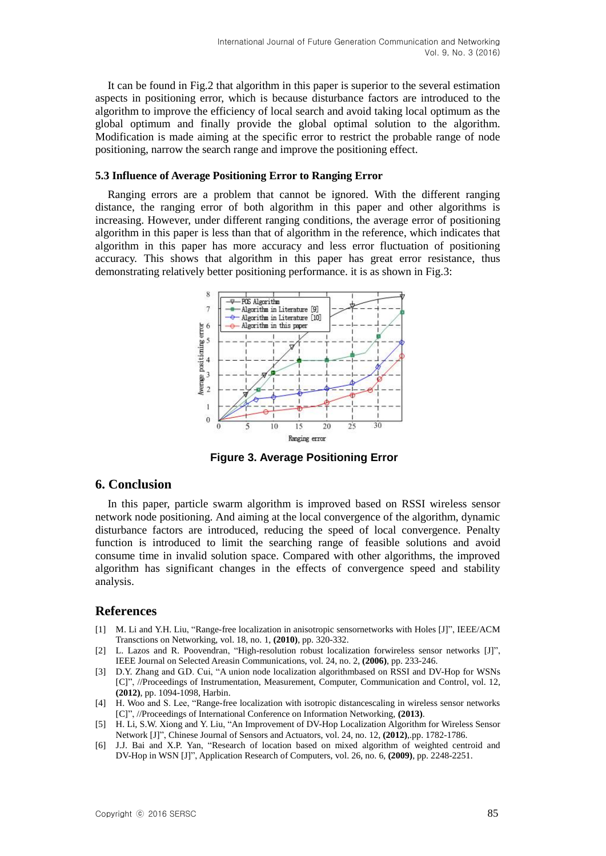It can be found in Fig.2 that algorithm in this paper is superior to the several estimation aspects in positioning error, which is because disturbance factors are introduced to the algorithm to improve the efficiency of local search and avoid taking local optimum as the global optimum and finally provide the global optimal solution to the algorithm. Modification is made aiming at the specific error to restrict the probable range of node positioning, narrow the search range and improve the positioning effect.

#### **5.3 Influence of Average Positioning Error to Ranging Error**

Ranging errors are a problem that cannot be ignored. With the different ranging distance, the ranging error of both algorithm in this paper and other algorithms is increasing. However, under different ranging conditions, the average error of positioning algorithm in this paper is less than that of algorithm in the reference, which indicates that algorithm in this paper has more accuracy and less error fluctuation of positioning accuracy. This shows that algorithm in this paper has great error resistance, thus demonstrating relatively better positioning performance. it is as shown in Fig.3:



**Figure 3. Average Positioning Error**

### **6. Conclusion**

In this paper, particle swarm algorithm is improved based on RSSI wireless sensor network node positioning. And aiming at the local convergence of the algorithm, dynamic disturbance factors are introduced, reducing the speed of local convergence. Penalty function is introduced to limit the searching range of feasible solutions and avoid consume time in invalid solution space. Compared with other algorithms, the improved algorithm has significant changes in the effects of convergence speed and stability analysis.

## **References**

- [1] M. Li and Y.H. Liu, "Range-free localization in anisotropic sensornetworks with Holes [J]", IEEE/ACM Transctions on Networking, vol. 18, no. 1, **(2010)**, pp. 320-332.
- [2] L. Lazos and R. Poovendran, "High-resolution robust localization forwireless sensor networks [J]", IEEE Journal on Selected Areasin Communications, vol. 24, no. 2, **(2006)**, pp. 233-246.
- [3] D.Y. Zhang and G.D. Cui, "A union node localization algorithmbased on RSSI and DV-Hop for WSNs [C]", //Proceedings of Instrumentation, Measurement, Computer, Communication and Control, vol. 12, **(2012)**, pp. 1094-1098, Harbin.
- [4] H. Woo and S. Lee, "Range-free localization with isotropic distancescaling in wireless sensor networks [C]", //Proceedings of International Conference on Information Networking, **(2013)**.
- [5] H. Li, S.W. Xiong and Y. Liu, "An Improvement of DV-Hop Localization Algorithm for Wireless Sensor Network [J]", Chinese Journal of Sensors and Actuators, vol. 24, no. 12, **(2012)**,.pp. 1782-1786.
- [6] J.J. Bai and X.P. Yan, "Research of location based on mixed algorithm of weighted centroid and DV-Hop in WSN [J]", Application Research of Computers, vol. 26, no. 6, **(2009)**, pp. 2248-2251.